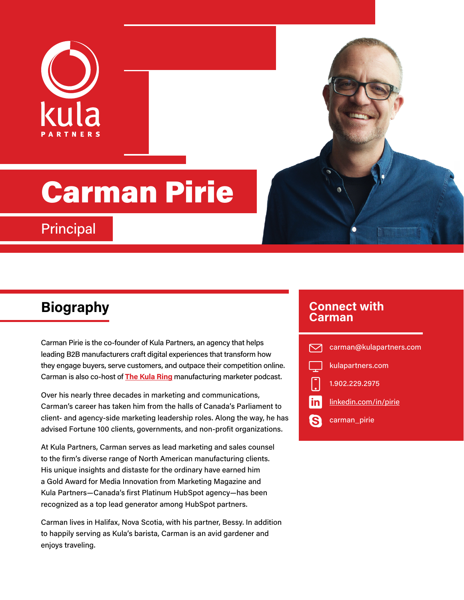

# Carman Pirie

**Principal** 

Carman Pirie is the co-founder of Kula Partners, an agency that helps leading B2B manufacturers craft digital experiences that transform how they engage buyers, serve customers, and outpace their competition online. Carman is also co-host of **[The Kula Ring](https://kulapartners.com/thekularing/)** manufacturing marketer podcast.

Over his nearly three decades in marketing and communications, Carman's career has taken him from the halls of Canada's Parliament to client- and agency-side marketing leadership roles. Along the way, he has advised Fortune 100 clients, governments, and non-profit organizations.

At Kula Partners, Carman serves as lead marketing and sales counsel to the firm's diverse range of North American manufacturing clients. His unique insights and distaste for the ordinary have earned him a Gold Award for Media Innovation from Marketing Magazine and Kula Partners—Canada's first Platinum HubSpot agency—has been recognized as a top lead generator among HubSpot partners.

Carman lives in Halifax, Nova Scotia, with his partner, Bessy. In addition to happily serving as Kula's barista, Carman is an avid gardener and enjoys traveling.

### **Biography Connect with Carman**

|      | carman@kulapartners.com |
|------|-------------------------|
|      | kulapartners.com        |
|      | 1.902.229.2975          |
| in / | linkedin.com/in/pirie   |
| B    | carman_pirie            |